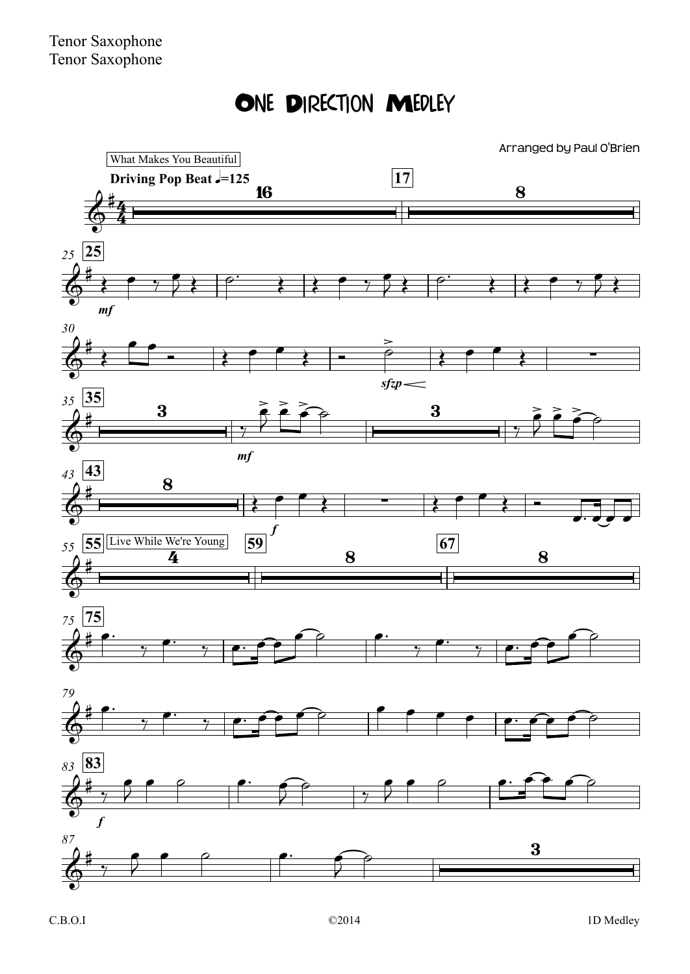## ONE DIRECTION MEDLEY